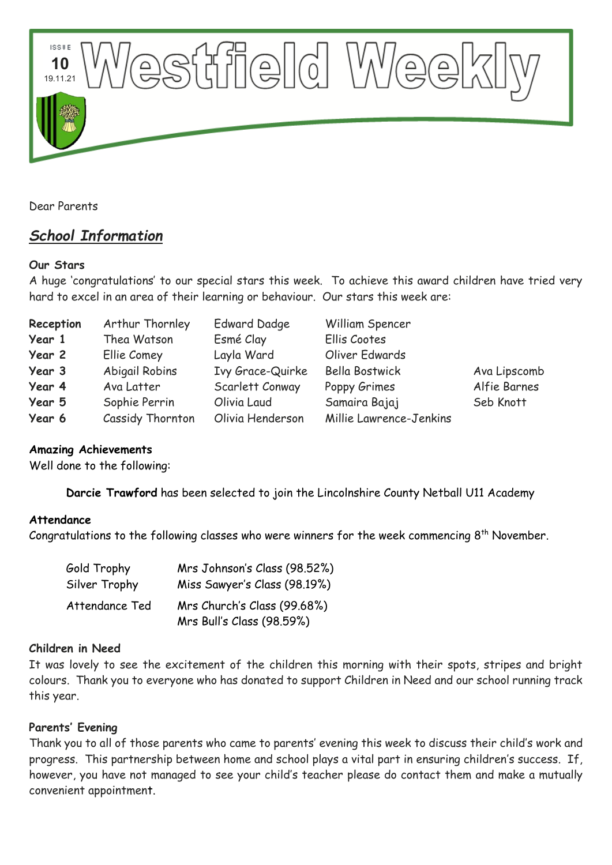

Dear Parents

# *School Information*

## **Our Stars**

A huge 'congratulations' to our special stars this week. To achieve this award children have tried very hard to excel in an area of their learning or behaviour. Our stars this week are:

| Reception | Arthur Thornley  | <b>Edward Dadge</b> | William Spencer         |              |
|-----------|------------------|---------------------|-------------------------|--------------|
| Year 1    | Thea Watson      | Esmé Clay           | Ellis Cootes            |              |
| Year 2    | Ellie Comey      | Layla Ward          | Oliver Edwards          |              |
| Year 3    | Abigail Robins   | Ivy Grace-Quirke    | <b>Bella Bostwick</b>   | Ava Lipscomb |
| Year 4    | Ava Latter       | Scarlett Conway     | Poppy Grimes            | Alfie Barnes |
| Year 5    | Sophie Perrin    | Olivia Laud         | Samaira Bajaj           | Seb Knott    |
| Year 6    | Cassidy Thornton | Olivia Henderson    | Millie Lawrence-Jenkins |              |

## **Amazing Achievements**

Well done to the following:

**Darcie Trawford** has been selected to join the Lincolnshire County Netball U11 Academy

### **Attendance**

Congratulations to the following classes who were winners for the week commencing  $8^{\text{th}}$  November.

| Gold Trophy    | Mrs Johnson's Class (98.52%)                             |  |  |
|----------------|----------------------------------------------------------|--|--|
| Silver Trophy  | Miss Sawyer's Class (98.19%)                             |  |  |
| Attendance Ted | Mrs Church's Class (99.68%)<br>Mrs Bull's Class (98.59%) |  |  |

### **Children in Need**

It was lovely to see the excitement of the children this morning with their spots, stripes and bright colours. Thank you to everyone who has donated to support Children in Need and our school running track this year.

### **Parents' Evening**

Thank you to all of those parents who came to parents' evening this week to discuss their child's work and progress. This partnership between home and school plays a vital part in ensuring children's success. If, however, you have not managed to see your child's teacher please do contact them and make a mutually convenient appointment.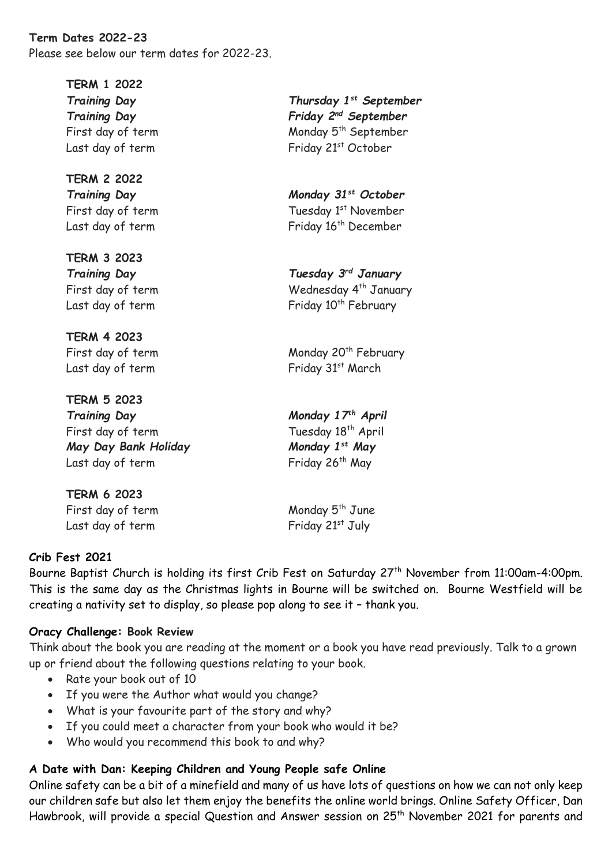**Term Dates 2022-23** Please see below our term dates for 2022-23.

**TERM 1 2022**

**TERM 2 2022**

**TERM 3 2023**

**TERM 4 2023**

**TERM 5 2023** *Training Day Monday 17th April* First day of term Tuesday 18<sup>th</sup> April *May Day Bank Holiday Monday 1st May* Last day of term Friday 26<sup>th</sup> May

**TERM 6 2023** First day of term Monday 5<sup>th</sup> June Last day of term Friday 21st July

*Training Day Thursday 1st September Training Day Friday 2nd September* First day of term Monday 5<sup>th</sup> September Last day of term Friday 21st October

*Training Day Monday 31st October* First day of term Tuesday 1st November Last day of term Friday 16<sup>th</sup> December

*Training Day Tuesday 3rd January* First day of term Wednesday 4<sup>th</sup> January Last day of term Friday 10<sup>th</sup> February

First day of term Monday 20<sup>th</sup> February Last day of term Friday 31st March

## **Crib Fest 2021**

Bourne Baptist Church is holding its first Crib Fest on Saturday 27<sup>th</sup> November from 11:00am-4:00pm. This is the same day as the Christmas lights in Bourne will be switched on. Bourne Westfield will be creating a nativity set to display, so please pop along to see it – thank you.

### **Oracy Challenge: Book Review**

Think about the book you are reading at the moment or a book you have read previously. Talk to a grown up or friend about the following questions relating to your book.

- Rate your book out of 10
- If you were the Author what would you change?
- What is your favourite part of the story and why?
- If you could meet a character from your book who would it be?
- Who would you recommend this book to and why?

## **A Date with Dan: Keeping Children and Young People safe Online**

Online safety can be a bit of a minefield and many of us have lots of questions on how we can not only keep our children safe but also let them enjoy the benefits the online world brings. Online Safety Officer, Dan Hawbrook, will provide a special Question and Answer session on 25<sup>th</sup> November 2021 for parents and